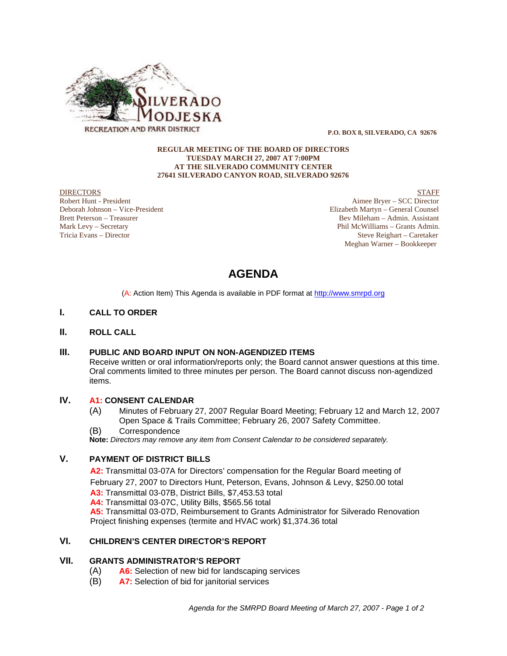

 **P.O. BOX 8, SILVERADO, CA 92676**

#### **REGULAR MEETING OF THE BOARD OF DIRECTORS TUESDAY MARCH 27, 2007 AT 7:00PM AT THE SILVERADO COMMUNITY CENTER 27641 SILVERADO CANYON ROAD, SILVERADO 92676**

**DIRECTORS** STAFF Robert Hunt - President Aimee Bryer – SCC Director<br>
Deborah Johnson – Vice-President Aircreare and Aircreare and Aircreare and Aircreare and Aircreare and Aircre<br>
Elizabeth Martyn – General Counsel Deborah Johnson – Vice-President Elizabeth Martyn – General Counsel Bev Mileham – Admin. Assistant Mark Levy – Secretary Phil McWilliams – Grants Admin. Tricia Evans – Director Steve Reighart – Caretaker Meghan Warner – Bookkeeper

# **AGENDA**

(A: Action Item) This Agenda is available in PDF format at http://www.smrpd.org

# **I. CALL TO ORDER**

# **II. ROLL CALL**

# **III. PUBLIC AND BOARD INPUT ON NON-AGENDIZED ITEMS**

Receive written or oral information/reports only; the Board cannot answer questions at this time. Oral comments limited to three minutes per person. The Board cannot discuss non-agendized items.

# **IV. A1:CONSENT CALENDAR**

- (A) Minutes of February 27, 2007 Regular Board Meeting; February 12 and March 12, 2007 Open Space & Trails Committee; February 26, 2007 Safety Committee.
- (B) Correspondence

**Note:** *Directors may remove any item from Consent Calendar to be considered separately.*

# **V. PAYMENT OF DISTRICT BILLS**

**A2:**Transmittal 03-07A for Directors' compensation for the Regular Board meeting of February 27, 2007 to Directors Hunt, Peterson, Evans, Johnson & Levy, \$250.00 total **A3:** Transmittal 03-07B, District Bills, \$7,453.53 total **A4:** Transmittal 03-07C, Utility Bills, \$565.56 total **A5:** Transmittal 03-07D, Reimbursement to Grants Administrator for Silverado Renovation Project finishing expenses (termite and HVAC work) \$1,374.36 total

# **VI. CHILDREN'S CENTER DIRECTOR'S REPORT**

### **VII. GRANTS ADMINISTRATOR'S REPORT**

- (A) **A6:** Selection of new bid for landscaping services
- (B) **A7:** Selection of bid for janitorial services